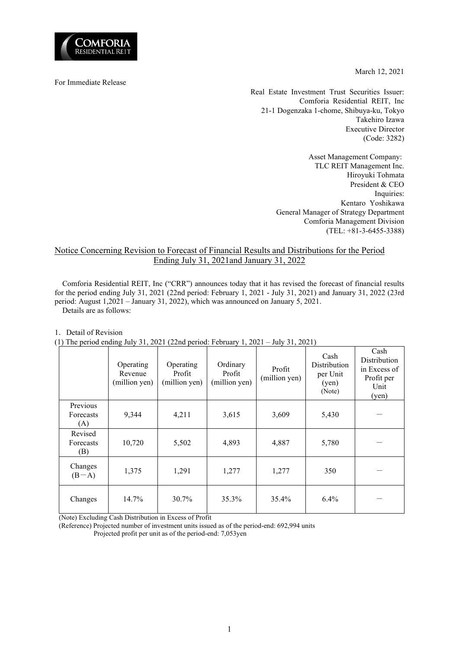

March 12, 2021

For Immediate Release

Real Estate Investment Trust Securities Issuer: Comforia Residential REIT, Inc 21-1 Dogenzaka 1-chome, Shibuya-ku, Tokyo Takehiro Izawa Executive Director (Code: 3282)

> Asset Management Company: TLC REIT Management Inc. Hiroyuki Tohmata President & CEO Inquiries: Kentaro Yoshikawa General Manager of Strategy Department Comforia Management Division (TEL: +81-3-6455-3388)

## Notice Concerning Revision to Forecast of Financial Results and Distributions for the Period Ending July 31, 2021and January 31, 2022

Comforia Residential REIT, Inc ("CRR") announces today that it has revised the forecast of financial results for the period ending July 31, 2021 (22nd period: February 1, 2021 - July 31, 2021) and January 31, 2022 (23rd period: August 1,2021 – January 31, 2022), which was announced on January 5, 2021. Details are as follows:

| (1) The period ending July 31, 2021 (22nd period: February 1, 2021 – July 31, 2021) |                                       |                                      |                                     |                         |                                                     |                                                                     |
|-------------------------------------------------------------------------------------|---------------------------------------|--------------------------------------|-------------------------------------|-------------------------|-----------------------------------------------------|---------------------------------------------------------------------|
|                                                                                     | Operating<br>Revenue<br>(million yen) | Operating<br>Profit<br>(million yen) | Ordinary<br>Profit<br>(million yen) | Profit<br>(million yen) | Cash<br>Distribution<br>per Unit<br>(yen)<br>(Note) | Cash<br>Distribution<br>in Excess of<br>Profit per<br>Unit<br>(yen) |
| Previous<br>Forecasts<br>(A)                                                        | 9,344                                 | 4,211                                | 3,615                               | 3,609                   | 5,430                                               |                                                                     |
| Revised<br>Forecasts<br>(B)                                                         | 10,720                                | 5,502                                | 4,893                               | 4,887                   | 5,780                                               |                                                                     |
| Changes<br>$(B-A)$                                                                  | 1,375                                 | 1,291                                | 1,277                               | 1,277                   | 350                                                 |                                                                     |
| Changes                                                                             | 14.7%                                 | 30.7%                                | 35.3%                               | 35.4%                   | $6.4\%$                                             |                                                                     |

1. Detail of Revision

(1) The period ending July 31, 2021 (22nd period: February 1, 2021 – July 31, 2021)

(Note) Excluding Cash Distribution in Excess of Profit

(Reference) Projected number of investment units issued as of the period-end: 692,994 units

Projected profit per unit as of the period-end: 7,053yen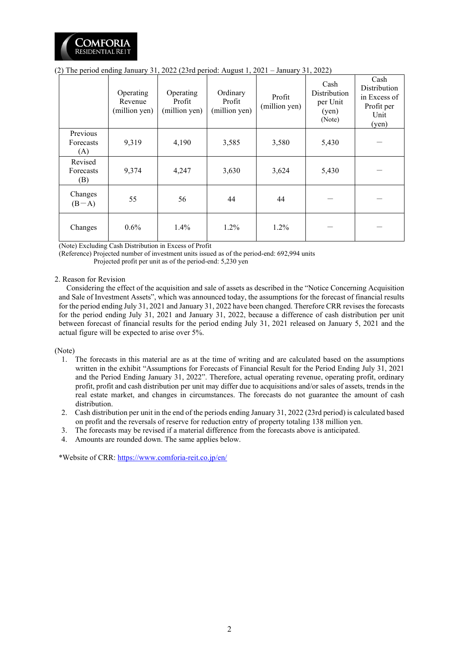

|                              | Operating<br>Revenue<br>(million yen) | Operating<br>Profit<br>(million yen) | Ordinary<br>Profit<br>(million yen) | Profit<br>(million yen) | Cash<br>Distribution<br>per Unit<br>(yen)<br>(Note) | Cash<br>Distribution<br>in Excess of<br>Profit per<br>Unit<br>(yen) |
|------------------------------|---------------------------------------|--------------------------------------|-------------------------------------|-------------------------|-----------------------------------------------------|---------------------------------------------------------------------|
| Previous<br>Forecasts<br>(A) | 9,319                                 | 4,190                                | 3,585                               | 3,580                   | 5,430                                               |                                                                     |
| Revised<br>Forecasts<br>(B)  | 9,374                                 | 4,247                                | 3,630                               | 3,624                   | 5,430                                               |                                                                     |
| Changes<br>$(B-A)$           | 55                                    | 56                                   | 44                                  | 44                      |                                                     |                                                                     |
| Changes                      | $0.6\%$                               | $1.4\%$                              | $1.2\%$                             | 1.2%                    |                                                     |                                                                     |

(2) The period ending January 31, 2022 (23rd period: August 1, 2021 – January 31, 2022)

(Note) Excluding Cash Distribution in Excess of Profit

(Reference) Projected number of investment units issued as of the period-end: 692,994 units

Projected profit per unit as of the period-end: 5,230 yen

## 2. Reason for Revision

Considering the effect of the acquisition and sale of assets as described in the "Notice Concerning Acquisition and Sale of Investment Assets", which was announced today, the assumptions for the forecast of financial results for the period ending July 31, 2021 and January 31, 2022 have been changed. Therefore CRR revises the forecasts for the period ending July 31, 2021 and January 31, 2022, because a difference of cash distribution per unit between forecast of financial results for the period ending July 31, 2021 released on January 5, 2021 and the actual figure will be expected to arise over 5%.

(Note)

- 1. The forecasts in this material are as at the time of writing and are calculated based on the assumptions written in the exhibit "Assumptions for Forecasts of Financial Result for the Period Ending July 31, 2021 and the Period Ending January 31, 2022". Therefore, actual operating revenue, operating profit, ordinary profit, profit and cash distribution per unit may differ due to acquisitions and/or sales of assets, trends in the real estate market, and changes in circumstances. The forecasts do not guarantee the amount of cash distribution.
- 2. Cash distribution per unit in the end of the periods ending January 31, 2022 (23rd period) is calculated based on profit and the reversals of reserve for reduction entry of property totaling 138 million yen.
- 3. The forecasts may be revised if a material difference from the forecasts above is anticipated.
- 4. Amounts are rounded down. The same applies below.

\*Website of CRR[: https://www.comforia-reit.co.jp/en/](https://www.comforia-reit.co.jp/english/)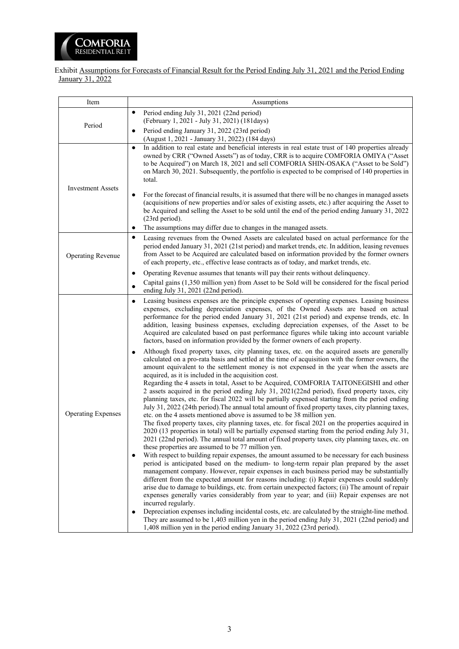

Exhibit Assumptions for Forecasts of Financial Result for the Period Ending July 31, 2021 and the Period Ending January 31, 2022

| Item                      | Assumptions                                                                                                                                                                                                                                                                                                                                                                                                                                                                                                                                                                                                                      |
|---------------------------|----------------------------------------------------------------------------------------------------------------------------------------------------------------------------------------------------------------------------------------------------------------------------------------------------------------------------------------------------------------------------------------------------------------------------------------------------------------------------------------------------------------------------------------------------------------------------------------------------------------------------------|
|                           | Period ending July 31, 2021 (22nd period)<br>٠<br>(February 1, 2021 - July 31, 2021) (181days)                                                                                                                                                                                                                                                                                                                                                                                                                                                                                                                                   |
| Period                    | Period ending January 31, 2022 (23rd period)<br>٠<br>(August 1, 2021 - January 31, 2022) (184 days)                                                                                                                                                                                                                                                                                                                                                                                                                                                                                                                              |
| <b>Investment Assets</b>  | In addition to real estate and beneficial interests in real estate trust of 140 properties already<br>$\bullet$<br>owned by CRR ("Owned Assets") as of today, CRR is to acquire COMFORIA OMIYA ("Asset<br>to be Acquired") on March 18, 2021 and sell COMFORIA SHIN-OSAKA ("Asset to be Sold")<br>on March 30, 2021. Subsequently, the portfolio is expected to be comprised of 140 properties in<br>total.                                                                                                                                                                                                                      |
|                           | For the forecast of financial results, it is assumed that there will be no changes in managed assets<br>(acquisitions of new properties and/or sales of existing assets, etc.) after acquiring the Asset to<br>be Acquired and selling the Asset to be sold until the end of the period ending January 31, 2022<br>(23rd period).<br>The assumptions may differ due to changes in the managed assets.<br>$\bullet$                                                                                                                                                                                                               |
|                           | Leasing revenues from the Owned Assets are calculated based on actual performance for the<br>٠                                                                                                                                                                                                                                                                                                                                                                                                                                                                                                                                   |
| <b>Operating Revenue</b>  | period ended January 31, 2021 (21st period) and market trends, etc. In addition, leasing revenues<br>from Asset to be Acquired are calculated based on information provided by the former owners<br>of each property, etc., effective lease contracts as of today, and market trends, etc.                                                                                                                                                                                                                                                                                                                                       |
|                           | Operating Revenue assumes that tenants will pay their rents without delinquency.<br>Capital gains (1,350 million yen) from Asset to be Sold will be considered for the fiscal period<br>ending July 31, 2021 (22nd period).                                                                                                                                                                                                                                                                                                                                                                                                      |
|                           | Leasing business expenses are the principle expenses of operating expenses. Leasing business<br>$\bullet$<br>expenses, excluding depreciation expenses, of the Owned Assets are based on actual<br>performance for the period ended January 31, 2021 (21st period) and expense trends, etc. In<br>addition, leasing business expenses, excluding depreciation expenses, of the Asset to be<br>Acquired are calculated based on past performance figures while taking into account variable<br>factors, based on information provided by the former owners of each property.                                                      |
|                           | Although fixed property taxes, city planning taxes, etc. on the acquired assets are generally<br>calculated on a pro-rata basis and settled at the time of acquisition with the former owners, the<br>amount equivalent to the settlement money is not expensed in the year when the assets are<br>acquired, as it is included in the acquisition cost.                                                                                                                                                                                                                                                                          |
| <b>Operating Expenses</b> | Regarding the 4 assets in total, Asset to be Acquired, COMFORIA TAITONEGISHI and other<br>2 assets acquired in the period ending July 31, 2021(22nd period), fixed property taxes, city<br>planning taxes, etc. for fiscal 2022 will be partially expensed starting from the period ending<br>July 31, 2022 (24th period). The annual total amount of fixed property taxes, city planning taxes,<br>etc. on the 4 assets mentioned above is assumed to be 38 million yen.                                                                                                                                                        |
|                           | The fixed property taxes, city planning taxes, etc. for fiscal 2021 on the properties acquired in<br>2020 (13 properties in total) will be partially expensed starting from the period ending July 31,<br>2021 (22nd period). The annual total amount of fixed property taxes, city planning taxes, etc. on<br>these properties are assumed to be 77 million yen.                                                                                                                                                                                                                                                                |
|                           | With respect to building repair expenses, the amount assumed to be necessary for each business<br>$\bullet$<br>period is anticipated based on the medium- to long-term repair plan prepared by the asset<br>management company. However, repair expenses in each business period may be substantially<br>different from the expected amount for reasons including: (i) Repair expenses could suddenly<br>arise due to damage to buildings, etc. from certain unexpected factors; (ii) The amount of repair<br>expenses generally varies considerably from year to year; and (iii) Repair expenses are not<br>incurred regularly. |
|                           | Depreciation expenses including incidental costs, etc. are calculated by the straight-line method.<br>$\bullet$<br>They are assumed to be 1,403 million yen in the period ending July 31, 2021 (22nd period) and<br>1,408 million yen in the period ending January 31, 2022 (23rd period).                                                                                                                                                                                                                                                                                                                                       |